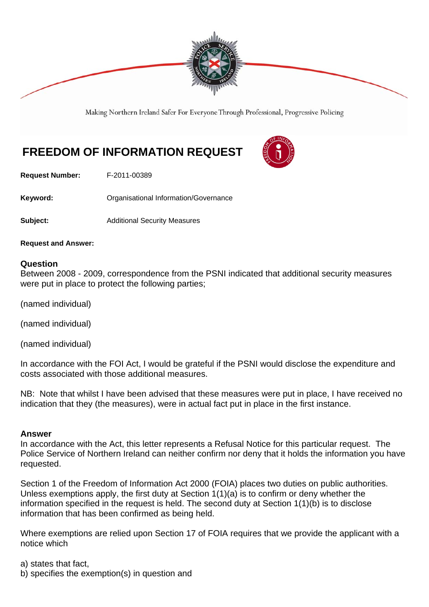

Making Northern Ireland Safer For Everyone Through Professional, Progressive Policing

# **FREEDOM OF INFORMATION REQUEST**



**Request Number:** F-2011-00389

Keyword: **Communistry Communists** Organisational Information/Governance

**Subject:** Additional Security Measures

**Request and Answer:** 

#### **Question**

Between 2008 - 2009, correspondence from the PSNI indicated that additional security measures were put in place to protect the following parties;

(named individual)

(named individual)

(named individual)

In accordance with the FOI Act, I would be grateful if the PSNI would disclose the expenditure and costs associated with those additional measures.

NB: Note that whilst I have been advised that these measures were put in place, I have received no indication that they (the measures), were in actual fact put in place in the first instance.

#### **Answer**

In accordance with the Act, this letter represents a Refusal Notice for this particular request. The Police Service of Northern Ireland can neither confirm nor deny that it holds the information you have requested.

Section 1 of the Freedom of Information Act 2000 (FOIA) places two duties on public authorities. Unless exemptions apply, the first duty at Section  $1(1)(a)$  is to confirm or deny whether the information specified in the request is held. The second duty at Section 1(1)(b) is to disclose information that has been confirmed as being held.

Where exemptions are relied upon Section 17 of FOIA requires that we provide the applicant with a notice which

a) states that fact,

b) specifies the exemption(s) in question and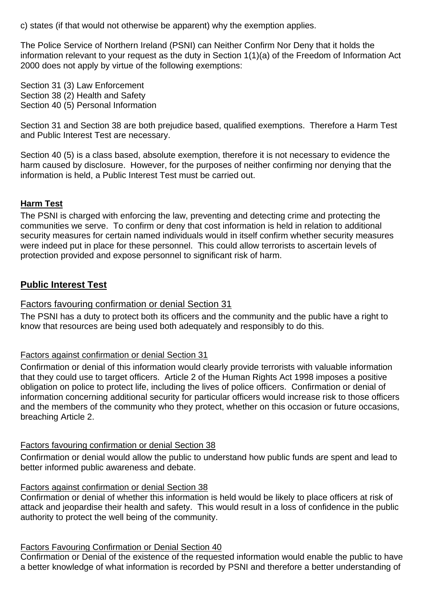c) states (if that would not otherwise be apparent) why the exemption applies.

The Police Service of Northern Ireland (PSNI) can Neither Confirm Nor Deny that it holds the information relevant to your request as the duty in Section 1(1)(a) of the Freedom of Information Act 2000 does not apply by virtue of the following exemptions:

Section 31 (3) Law Enforcement Section 38 (2) Health and Safety Section 40 (5) Personal Information

Section 31 and Section 38 are both prejudice based, qualified exemptions. Therefore a Harm Test and Public Interest Test are necessary.

Section 40 (5) is a class based, absolute exemption, therefore it is not necessary to evidence the harm caused by disclosure. However, for the purposes of neither confirming nor denying that the information is held, a Public Interest Test must be carried out.

# **Harm Test**

The PSNI is charged with enforcing the law, preventing and detecting crime and protecting the communities we serve. To confirm or deny that cost information is held in relation to additional security measures for certain named individuals would in itself confirm whether security measures were indeed put in place for these personnel. This could allow terrorists to ascertain levels of protection provided and expose personnel to significant risk of harm.

# **Public Interest Test**

# Factors favouring confirmation or denial Section 31

The PSNI has a duty to protect both its officers and the community and the public have a right to know that resources are being used both adequately and responsibly to do this.

### Factors against confirmation or denial Section 31

Confirmation or denial of this information would clearly provide terrorists with valuable information that they could use to target officers. Article 2 of the Human Rights Act 1998 imposes a positive obligation on police to protect life, including the lives of police officers. Confirmation or denial of information concerning additional security for particular officers would increase risk to those officers and the members of the community who they protect, whether on this occasion or future occasions, breaching Article 2.

### Factors favouring confirmation or denial Section 38

Confirmation or denial would allow the public to understand how public funds are spent and lead to better informed public awareness and debate.

### Factors against confirmation or denial Section 38

Confirmation or denial of whether this information is held would be likely to place officers at risk of attack and jeopardise their health and safety. This would result in a loss of confidence in the public authority to protect the well being of the community.

### Factors Favouring Confirmation or Denial Section 40

Confirmation or Denial of the existence of the requested information would enable the public to have a better knowledge of what information is recorded by PSNI and therefore a better understanding of